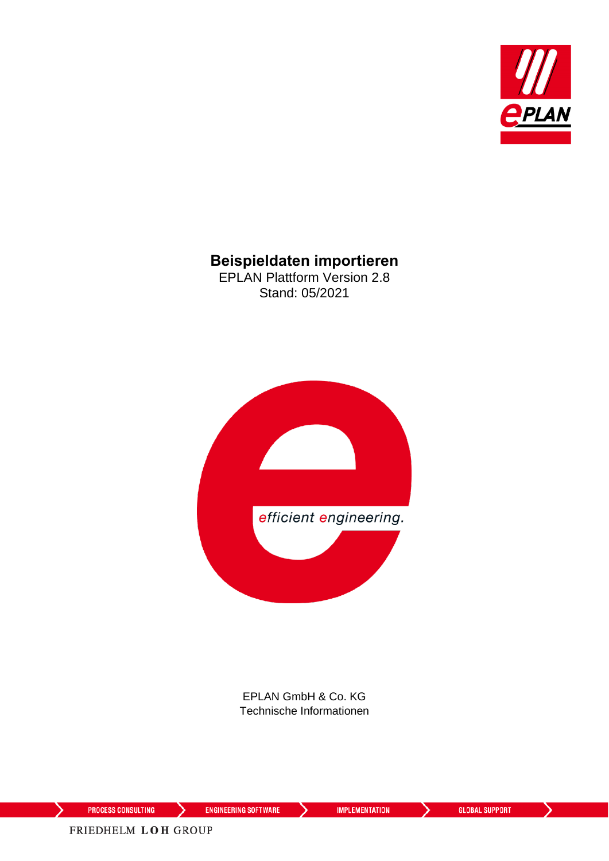

### **Beispieldaten importieren**

EPLAN Plattform Version 2.8 Stand: 05/2021



EPLAN GmbH & Co. KG Technische Informationen

⋋

≻

≻

FRIEDHELM LOH GROUP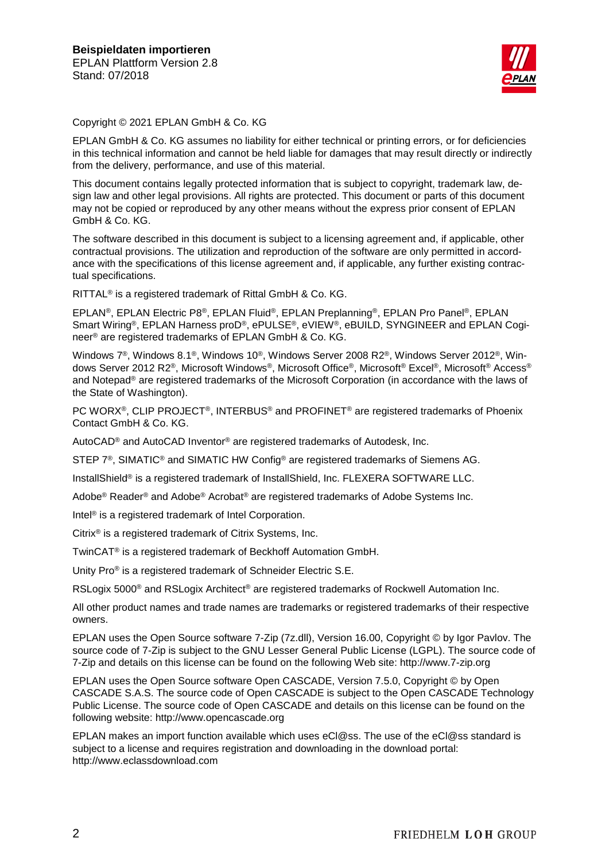

Copyright © 2021 EPLAN GmbH & Co. KG

EPLAN GmbH & Co. KG assumes no liability for either technical or printing errors, or for deficiencies in this technical information and cannot be held liable for damages that may result directly or indirectly from the delivery, performance, and use of this material.

This document contains legally protected information that is subject to copyright, trademark law, design law and other legal provisions. All rights are protected. This document or parts of this document may not be copied or reproduced by any other means without the express prior consent of EPLAN GmbH & Co. KG.

The software described in this document is subject to a licensing agreement and, if applicable, other contractual provisions. The utilization and reproduction of the software are only permitted in accordance with the specifications of this license agreement and, if applicable, any further existing contractual specifications.

RITTAL® is a registered trademark of Rittal GmbH & Co. KG.

EPLAN®, EPLAN Electric P8®, EPLAN Fluid®, EPLAN Preplanning®, EPLAN Pro Panel®, EPLAN Smart Wiring®, EPLAN Harness proD®, ePULSE®, eVIEW®, eBUILD, SYNGINEER and EPLAN Cogineer® are registered trademarks of EPLAN GmbH & Co. KG.

Windows 7®, Windows 8.1®, Windows 10®, Windows Server 2008 R2®, Windows Server 2012®, Windows Server 2012 R2®, Microsoft Windows®, Microsoft Office®, Microsoft® Excel®, Microsoft® Access® and Notepad® are registered trademarks of the Microsoft Corporation (in accordance with the laws of the State of Washington).

PC WORX®, CLIP PROJECT®, INTERBUS® and PROFINET® are registered trademarks of Phoenix Contact GmbH & Co. KG.

AutoCAD® and AutoCAD Inventor® are registered trademarks of Autodesk, Inc.

STEP 7<sup>®</sup>, SIMATIC<sup>®</sup> and SIMATIC HW Config<sup>®</sup> are registered trademarks of Siemens AG.

InstallShield<sup>®</sup> is a registered trademark of InstallShield, Inc. FLEXERA SOFTWARE LLC.

Adobe® Reader® and Adobe® Acrobat® are registered trademarks of Adobe Systems Inc.

Intel® is a registered trademark of Intel Corporation.

Citrix® is a registered trademark of Citrix Systems, Inc.

TwinCAT® is a registered trademark of Beckhoff Automation GmbH.

Unity Pro® is a registered trademark of Schneider Electric S.E.

RSLogix 5000<sup>®</sup> and RSLogix Architect<sup>®</sup> are registered trademarks of Rockwell Automation Inc.

All other product names and trade names are trademarks or registered trademarks of their respective owners.

EPLAN uses the Open Source software 7-Zip (7z.dll), Version 16.00, Copyright © by Igor Pavlov. The source code of 7-Zip is subject to the GNU Lesser General Public License (LGPL). The source code of 7-Zip and details on this license can be found on the following Web site: http://www.7-zip.org

EPLAN uses the Open Source software Open CASCADE, Version 7.5.0, Copyright © by Open CASCADE S.A.S. The source code of Open CASCADE is subject to the Open CASCADE Technology Public License. The source code of Open CASCADE and details on this license can be found on the following website: http://www.opencascade.org

EPLAN makes an import function available which uses eCl@ss. The use of the eCl@ss standard is subject to a license and requires registration and downloading in the download portal: http://www.eclassdownload.com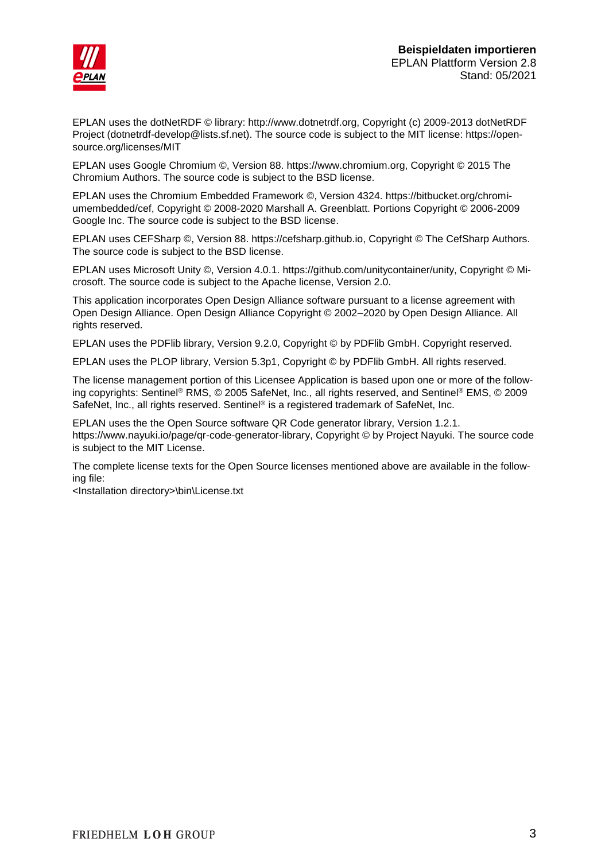

EPLAN uses the dotNetRDF © library: http://www.dotnetrdf.org, Copyright (c) 2009-2013 dotNetRDF Project (dotnetrdf-develop@lists.sf.net). The source code is subject to the MIT license: https://opensource.org/licenses/MIT

EPLAN uses Google Chromium ©, Version 88. https://www.chromium.org, Copyright © 2015 The Chromium Authors. The source code is subject to the BSD license.

EPLAN uses the Chromium Embedded Framework ©, Version 4324. https://bitbucket.org/chromiumembedded/cef, Copyright © 2008-2020 Marshall A. Greenblatt. Portions Copyright © 2006-2009 Google Inc. The source code is subject to the BSD license.

EPLAN uses CEFSharp ©, Version 88. https://cefsharp.github.io, Copyright © The CefSharp Authors. The source code is subject to the BSD license.

EPLAN uses Microsoft Unity ©, Version 4.0.1. https://github.com/unitycontainer/unity, Copyright © Microsoft. The source code is subject to the Apache license, Version 2.0.

This application incorporates Open Design Alliance software pursuant to a license agreement with Open Design Alliance. Open Design Alliance Copyright © 2002–2020 by Open Design Alliance. All rights reserved.

EPLAN uses the PDFlib library, Version 9.2.0, Copyright © by PDFlib GmbH. Copyright reserved.

EPLAN uses the PLOP library, Version 5.3p1, Copyright © by PDFlib GmbH. All rights reserved.

The license management portion of this Licensee Application is based upon one or more of the following copyrights: Sentinel® RMS, © 2005 SafeNet, Inc., all rights reserved, and Sentinel® EMS, © 2009 SafeNet, Inc., all rights reserved. Sentinel® is a registered trademark of SafeNet, Inc.

EPLAN uses the the Open Source software QR Code generator library, Version 1.2.1. https://www.nayuki.io/page/qr-code-generator-library, Copyright © by Project Nayuki. The source code is subject to the MIT License.

The complete license texts for the Open Source licenses mentioned above are available in the following file:

<Installation directory>\bin\License.txt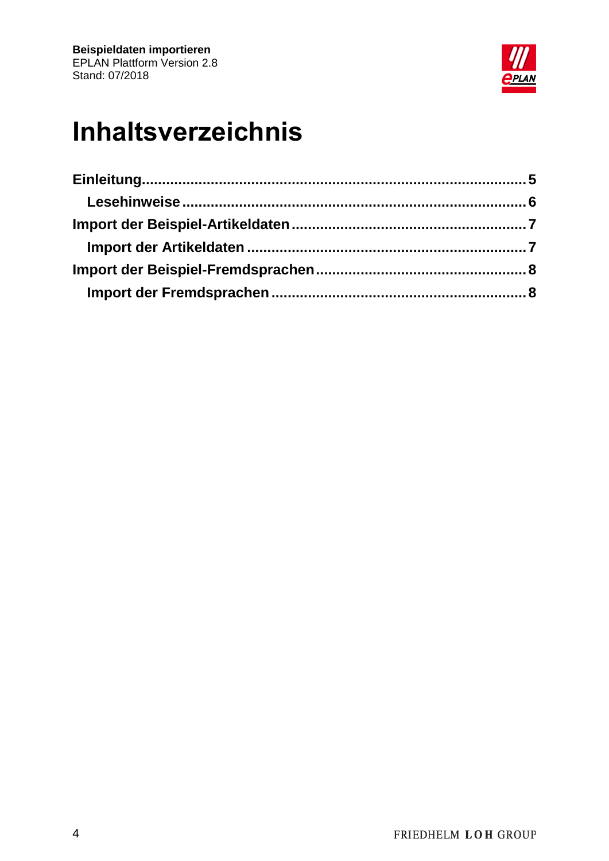

# **Inhaltsverzeichnis**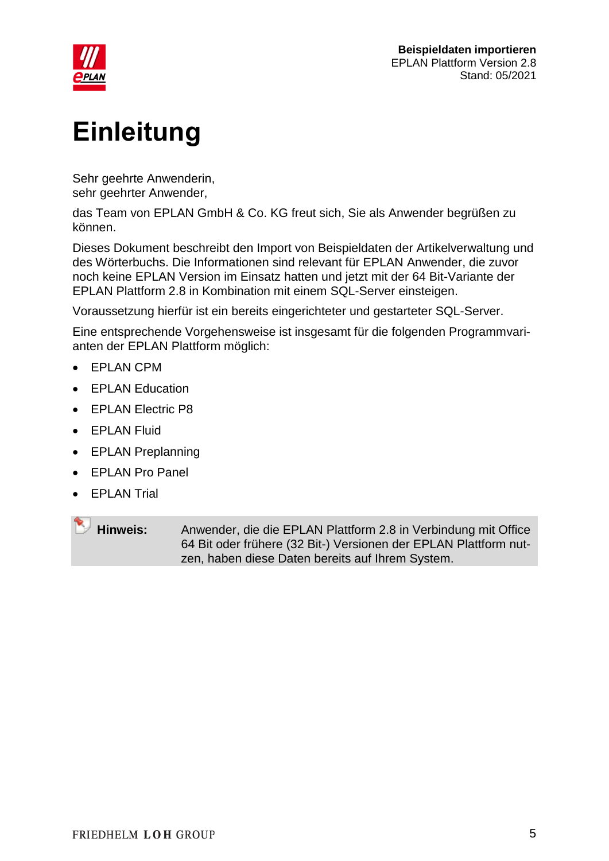

# <span id="page-4-0"></span>**Einleitung**

Sehr geehrte Anwenderin, sehr geehrter Anwender,

das Team von EPLAN GmbH & Co. KG freut sich, Sie als Anwender begrüßen zu können.

Dieses Dokument beschreibt den Import von Beispieldaten der Artikelverwaltung und des Wörterbuchs. Die Informationen sind relevant für EPLAN Anwender, die zuvor noch keine EPLAN Version im Einsatz hatten und jetzt mit der 64 Bit-Variante der EPLAN Plattform 2.8 in Kombination mit einem SQL-Server einsteigen.

Voraussetzung hierfür ist ein bereits eingerichteter und gestarteter SQL-Server.

Eine entsprechende Vorgehensweise ist insgesamt für die folgenden Programmvarianten der EPLAN Plattform möglich:

- EPLAN CPM
- **•** EPLAN Education
- EPLAN Electric P8
- EPLAN Fluid
- EPLAN Preplanning
- EPLAN Pro Panel
- **EPLAN Trial**

**Hinweis:** Anwender, die die EPLAN Plattform 2.8 in Verbindung mit Office 64 Bit oder frühere (32 Bit-) Versionen der EPLAN Plattform nutzen, haben diese Daten bereits auf Ihrem System.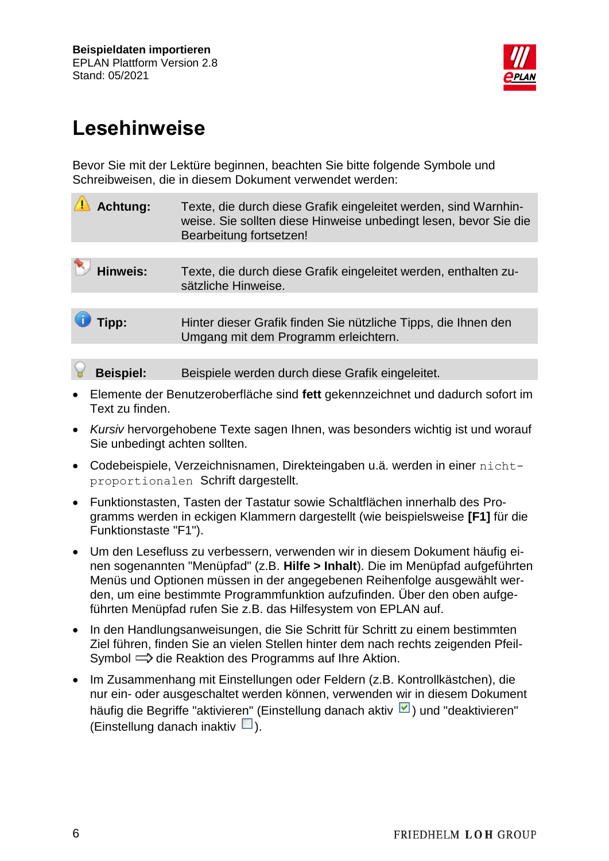

## <span id="page-5-0"></span>**Lesehinweise**

Bevor Sie mit der Lektüre beginnen, beachten Sie bitte folgende Symbole und Schreibweisen, die in diesem Dokument verwendet werden:

| <b>Achtung:</b>  | Texte, die durch diese Grafik eingeleitet werden, sind Warnhin-<br>weise. Sie sollten diese Hinweise unbedingt lesen, bevor Sie die<br>Bearbeitung fortsetzen! |
|------------------|----------------------------------------------------------------------------------------------------------------------------------------------------------------|
|                  |                                                                                                                                                                |
| Hinweis:         | Texte, die durch diese Grafik eingeleitet werden, enthalten zu-<br>sätzliche Hinweise.                                                                         |
|                  |                                                                                                                                                                |
| Tipp:            | Hinter dieser Grafik finden Sie nützliche Tipps, die Ihnen den<br>Umgang mit dem Programm erleichtern.                                                         |
|                  |                                                                                                                                                                |
| <b>Beispiel:</b> | Beispiele werden durch diese Grafik eingeleitet.                                                                                                               |

- Elemente der Benutzeroberfläche sind **fett** gekennzeichnet und dadurch sofort im Text zu finden.
- *Kursiv* hervorgehobene Texte sagen Ihnen, was besonders wichtig ist und worauf Sie unbedingt achten sollten.
- Codebeispiele, Verzeichnisnamen, Direkteingaben u.ä. werden in einer nichtproportionalen Schrift dargestellt.
- Funktionstasten, Tasten der Tastatur sowie Schaltflächen innerhalb des Programms werden in eckigen Klammern dargestellt (wie beispielsweise **[F1]** für die Funktionstaste "F1").
- Um den Lesefluss zu verbessern, verwenden wir in diesem Dokument häufig einen sogenannten "Menüpfad" (z.B. **Hilfe > Inhalt**). Die im Menüpfad aufgeführten Menüs und Optionen müssen in der angegebenen Reihenfolge ausgewählt werden, um eine bestimmte Programmfunktion aufzufinden. Über den oben aufgeführten Menüpfad rufen Sie z.B. das Hilfesystem von EPLAN auf.
- In den Handlungsanweisungen, die Sie Schritt für Schritt zu einem bestimmten Ziel führen, finden Sie an vielen Stellen hinter dem nach rechts zeigenden Pfeil-Symbol  $\implies$  die Reaktion des Programms auf Ihre Aktion.
- Im Zusammenhang mit Einstellungen oder Feldern (z.B. Kontrollkästchen), die nur ein- oder ausgeschaltet werden können, verwenden wir in diesem Dokument häufig die Begriffe "aktivieren" (Einstellung danach aktiv | | und "deaktivieren" (Einstellung danach inaktiv  $\Box$ ).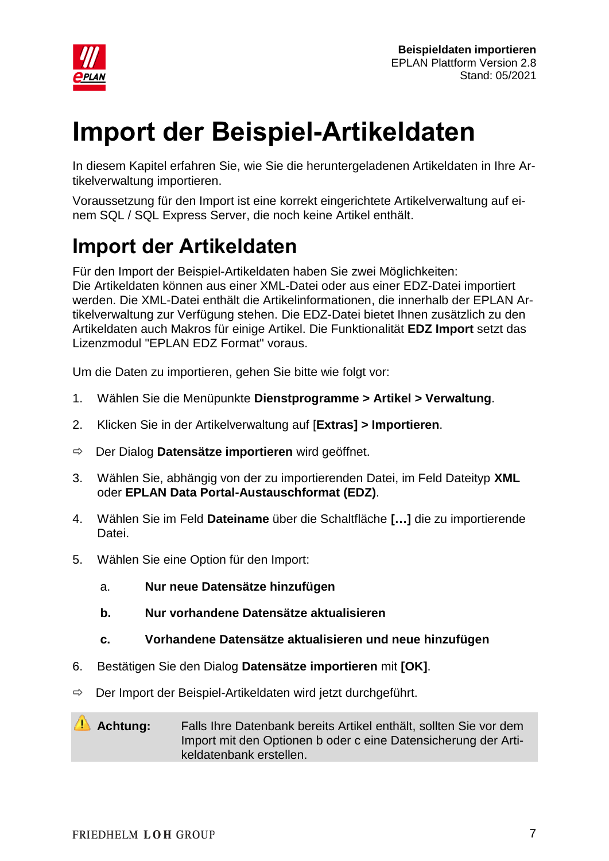

## <span id="page-6-0"></span>**Import der Beispiel-Artikeldaten**

In diesem Kapitel erfahren Sie, wie Sie die heruntergeladenen Artikeldaten in Ihre Artikelverwaltung importieren.

Voraussetzung für den Import ist eine korrekt eingerichtete Artikelverwaltung auf einem SQL / SQL Express Server, die noch keine Artikel enthält.

## <span id="page-6-1"></span>**Import der Artikeldaten**

Für den Import der Beispiel-Artikeldaten haben Sie zwei Möglichkeiten: Die Artikeldaten können aus einer XML-Datei oder aus einer EDZ-Datei importiert werden. Die XML-Datei enthält die Artikelinformationen, die innerhalb der EPLAN Artikelverwaltung zur Verfügung stehen. Die EDZ-Datei bietet Ihnen zusätzlich zu den Artikeldaten auch Makros für einige Artikel. Die Funktionalität **EDZ Import** setzt das Lizenzmodul "EPLAN EDZ Format" voraus.

Um die Daten zu importieren, gehen Sie bitte wie folgt vor:

- 1. Wählen Sie die Menüpunkte **Dienstprogramme > Artikel > Verwaltung**.
- 2. Klicken Sie in der Artikelverwaltung auf [**Extras] > Importieren**.
- Der Dialog **Datensätze importieren** wird geöffnet.
- 3. Wählen Sie, abhängig von der zu importierenden Datei, im Feld Dateityp **XML** oder **EPLAN Data Portal-Austauschformat (EDZ)**.
- 4. Wählen Sie im Feld **Dateiname** über die Schaltfläche **[…]** die zu importierende Datei.
- 5. Wählen Sie eine Option für den Import:
	- a. **Nur neue Datensätze hinzufügen**
	- **b. Nur vorhandene Datensätze aktualisieren**
	- **c. Vorhandene Datensätze aktualisieren und neue hinzufügen**
- 6. Bestätigen Sie den Dialog **Datensätze importieren** mit **[OK]**.
- $\Rightarrow$  Der Import der Beispiel-Artikeldaten wird jetzt durchgeführt.

#### **Achtung:** Falls Ihre Datenbank bereits Artikel enthält, sollten Sie vor dem Import mit den Optionen b oder c eine Datensicherung der Artikeldatenbank erstellen.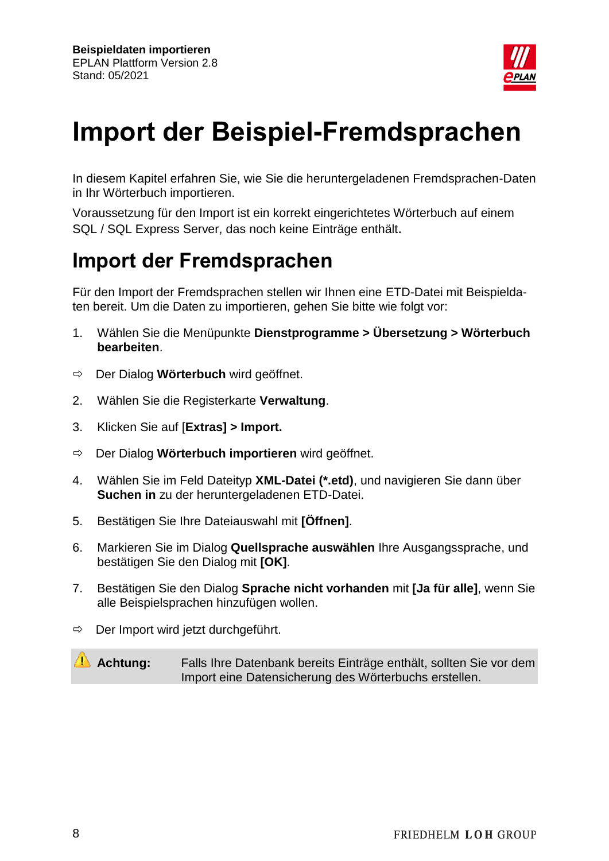

## <span id="page-7-0"></span>**Import der Beispiel-Fremdsprachen**

In diesem Kapitel erfahren Sie, wie Sie die heruntergeladenen Fremdsprachen-Daten in Ihr Wörterbuch importieren.

Voraussetzung für den Import ist ein korrekt eingerichtetes Wörterbuch auf einem SQL / SQL Express Server, das noch keine Einträge enthält.

### <span id="page-7-1"></span>**Import der Fremdsprachen**

Für den Import der Fremdsprachen stellen wir Ihnen eine ETD-Datei mit Beispieldaten bereit. Um die Daten zu importieren, gehen Sie bitte wie folgt vor:

- 1. Wählen Sie die Menüpunkte **Dienstprogramme > Übersetzung > Wörterbuch bearbeiten**.
- Der Dialog **Wörterbuch** wird geöffnet.
- 2. Wählen Sie die Registerkarte **Verwaltung**.
- 3. Klicken Sie auf [**Extras] > Import.**
- Der Dialog **Wörterbuch importieren** wird geöffnet.
- 4. Wählen Sie im Feld Dateityp **XML-Datei (\*.etd)**, und navigieren Sie dann über **Suchen in** zu der heruntergeladenen ETD-Datei.
- 5. Bestätigen Sie Ihre Dateiauswahl mit **[Öffnen]**.
- 6. Markieren Sie im Dialog **Quellsprache auswählen** Ihre Ausgangssprache, und bestätigen Sie den Dialog mit **[OK]**.
- 7. Bestätigen Sie den Dialog **Sprache nicht vorhanden** mit **[Ja für alle]**, wenn Sie alle Beispielsprachen hinzufügen wollen.
- $\Rightarrow$  Der Import wird jetzt durchgeführt.

**Achtung:** Falls Ihre Datenbank bereits Einträge enthält, sollten Sie vor dem Import eine Datensicherung des Wörterbuchs erstellen.